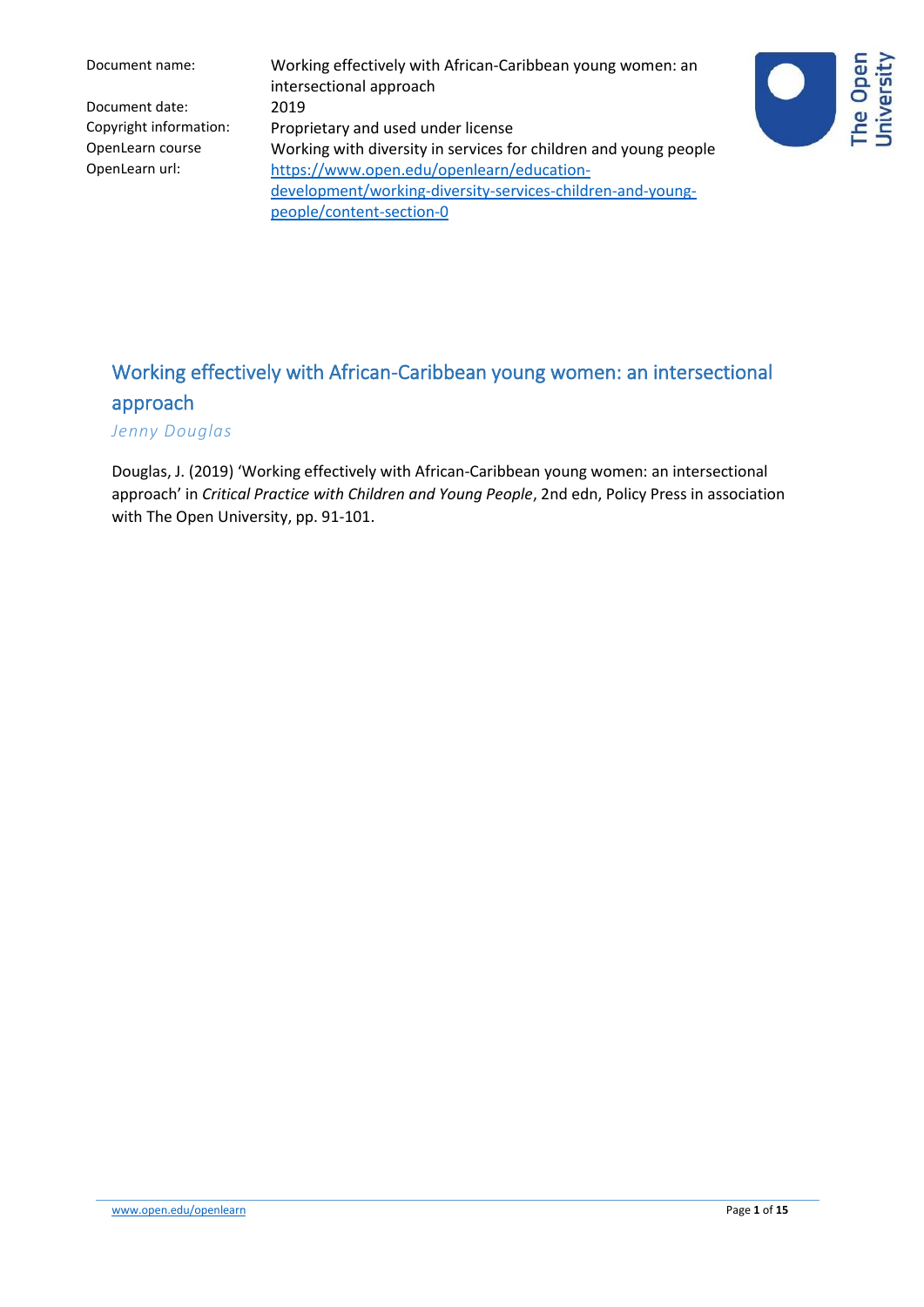Document name: Working effectively with African-Caribbean young women: an intersectional approach Copyright information: Proprietary and used under license OpenLearn course Working with diversity in services for children and young people OpenLearn url: [https://www.open.edu/openlearn/education](https://www.open.edu/openlearn/education-development/working-diversity-services-children-and-young-people/content-section-0)[development/working-diversity-services-children-and-young](https://www.open.edu/openlearn/education-development/working-diversity-services-children-and-young-people/content-section-0)[people/content-section-0](https://www.open.edu/openlearn/education-development/working-diversity-services-children-and-young-people/content-section-0)



# Working effectively with African-Caribbean young women: an intersectional approach

*Jenny Douglas*

Douglas, J. (2019) 'Working effectively with African-Caribbean young women: an intersectional approach' in *Critical Practice with Children and Young People*, 2nd edn, Policy Press in association with The Open University, pp. 91-101.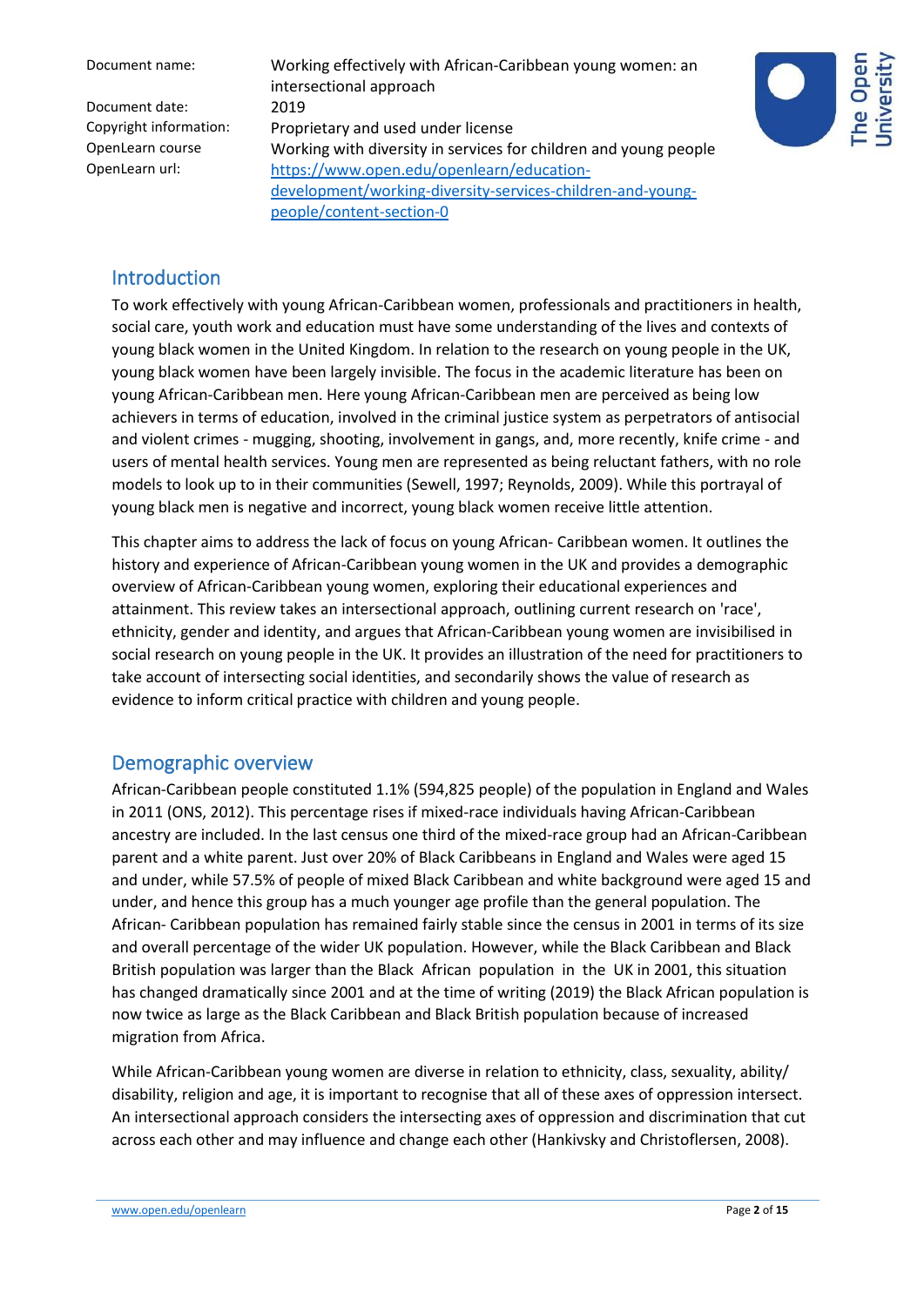Document name: Working effectively with African-Caribbean young women: an intersectional approach Copyright information: Proprietary and used under license OpenLearn course Working with diversity in services for children and young people OpenLearn url: [https://www.open.edu/openlearn/education](https://www.open.edu/openlearn/education-development/working-diversity-services-children-and-young-people/content-section-0)[development/working-diversity-services-children-and-young](https://www.open.edu/openlearn/education-development/working-diversity-services-children-and-young-people/content-section-0)[people/content-section-0](https://www.open.edu/openlearn/education-development/working-diversity-services-children-and-young-people/content-section-0)



#### Introduction

To work effectively with young African-Caribbean women, professionals and practitioners in health, social care, youth work and education must have some understanding of the lives and contexts of young black women in the United Kingdom. In relation to the research on young people in the UK, young black women have been largely invisible. The focus in the academic literature has been on young African-Caribbean men. Here young African-Caribbean men are perceived as being low achievers in terms of education, involved in the criminal justice system as perpetrators of antisocial and violent crimes - mugging, shooting, involvement in gangs, and, more recently, knife crime - and users of mental health services. Young men are represented as being reluctant fathers, with no role models to look up to in their communities (Sewell, 1997; Reynolds, 2009). While this portrayal of young black men is negative and incorrect, young black women receive little attention.

This chapter aims to address the lack of focus on young African- Caribbean women. It outlines the history and experience of African-Caribbean young women in the UK and provides a demographic overview of African-Caribbean young women, exploring their educational experiences and attainment. This review takes an intersectional approach, outlining current research on 'race', ethnicity, gender and identity, and argues that African-Caribbean young women are invisibilised in social research on young people in the UK. It provides an illustration of the need for practitioners to take account of intersecting social identities, and secondarily shows the value of research as evidence to inform critical practice with children and young people.

#### Demographic overview

African-Caribbean people constituted 1.1% (594,825 people) of the population in England and Wales in 2011 (ONS, 2012). This percentage rises if mixed-race individuals having African-Caribbean ancestry are included. In the last census one third of the mixed-race group had an African-Caribbean parent and a white parent. Just over 20% of Black Caribbeans in England and Wales were aged 15 and under, while 57.5% of people of mixed Black Caribbean and white background were aged 15 and under, and hence this group has a much younger age profile than the general population. The African- Caribbean population has remained fairly stable since the census in 2001 in terms of its size and overall percentage of the wider UK population. However, while the Black Caribbean and Black British population was larger than the Black African population in the UK in 2001, this situation has changed dramatically since 2001 and at the time of writing (2019) the Black African population is now twice as large as the Black Caribbean and Black British population because of increased migration from Africa.

While African-Caribbean young women are diverse in relation to ethnicity, class, sexuality, ability/ disability, religion and age, it is important to recognise that all of these axes of oppression intersect. An intersectional approach considers the intersecting axes of oppression and discrimination that cut across each other and may influence and change each other (Hankivsky and Christoflersen, 2008).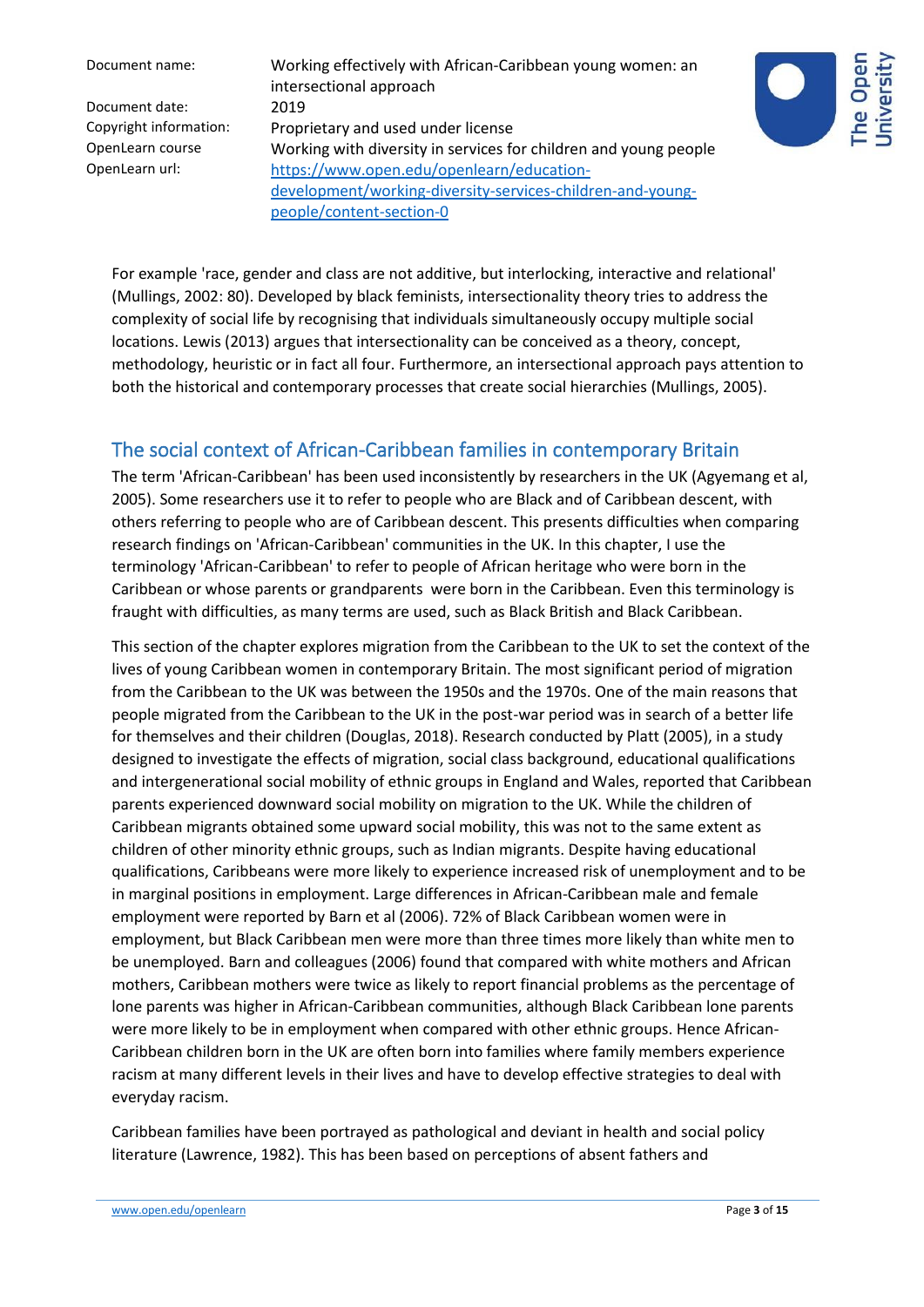Document name: Working effectively with African-Caribbean young women: an intersectional approach Copyright information: Proprietary and used under license OpenLearn course Working with diversity in services for children and young people OpenLearn url: [https://www.open.edu/openlearn/education](https://www.open.edu/openlearn/education-development/working-diversity-services-children-and-young-people/content-section-0)[development/working-diversity-services-children-and-young](https://www.open.edu/openlearn/education-development/working-diversity-services-children-and-young-people/content-section-0)[people/content-section-0](https://www.open.edu/openlearn/education-development/working-diversity-services-children-and-young-people/content-section-0)



For example 'race, gender and class are not additive, but interlocking, interactive and relational' (Mullings, 2002: 80). Developed by black feminists, intersectionality theory tries to address the complexity of social life by recognising that individuals simultaneously occupy multiple social locations. Lewis (2013) argues that intersectionality can be conceived as a theory, concept, methodology, heuristic or in fact all four. Furthermore, an intersectional approach pays attention to both the historical and contemporary processes that create social hierarchies (Mullings, 2005).

# The social context of African-Caribbean families in contemporary Britain

The term 'African-Caribbean' has been used inconsistently by researchers in the UK (Agyemang et al, 2005). Some researchers use it to refer to people who are Black and of Caribbean descent, with others referring to people who are of Caribbean descent. This presents difficulties when comparing research findings on 'African-Caribbean' communities in the UK. In this chapter, I use the terminology 'African-Caribbean' to refer to people of African heritage who were born in the Caribbean or whose parents or grandparents were born in the Caribbean. Even this terminology is fraught with difficulties, as many terms are used, such as Black British and Black Caribbean.

This section of the chapter explores migration from the Caribbean to the UK to set the context of the lives of young Caribbean women in contemporary Britain. The most significant period of migration from the Caribbean to the UK was between the 1950s and the 1970s. One of the main reasons that people migrated from the Caribbean to the UK in the post-war period was in search of a better life for themselves and their children (Douglas, 2018). Research conducted by Platt (2005), in a study designed to investigate the effects of migration, social class background, educational qualifications and intergenerational social mobility of ethnic groups in England and Wales, reported that Caribbean parents experienced downward social mobility on migration to the UK. While the children of Caribbean migrants obtained some upward social mobility, this was not to the same extent as children of other minority ethnic groups, such as Indian migrants. Despite having educational qualifications, Caribbeans were more likely to experience increased risk of unemployment and to be in marginal positions in employment. Large differences in African-Caribbean male and female employment were reported by Barn et al (2006). 72% of Black Caribbean women were in employment, but Black Caribbean men were more than three times more likely than white men to be unemployed. Barn and colleagues (2006) found that compared with white mothers and African mothers, Caribbean mothers were twice as likely to report financial problems as the percentage of lone parents was higher in African-Caribbean communities, although Black Caribbean lone parents were more likely to be in employment when compared with other ethnic groups. Hence African-Caribbean children born in the UK are often born into families where family members experience racism at many different levels in their lives and have to develop effective strategies to deal with everyday racism.

Caribbean families have been portrayed as pathological and deviant in health and social policy literature (Lawrence, 1982). This has been based on perceptions of absent fathers and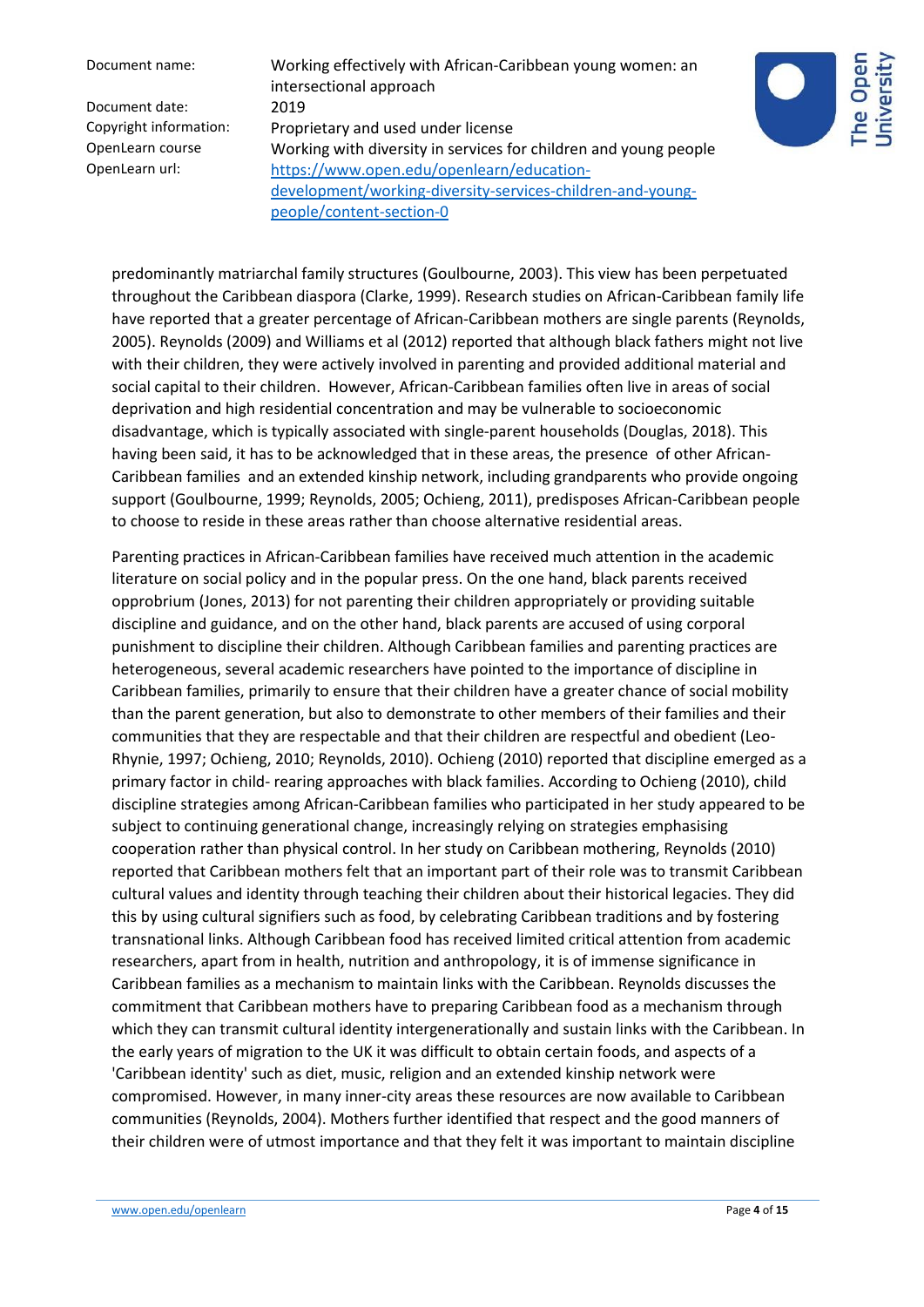Document name: Working effectively with African-Caribbean young women: an intersectional approach Copyright information: Proprietary and used under license OpenLearn course Working with diversity in services for children and young people OpenLearn url: [https://www.open.edu/openlearn/education](https://www.open.edu/openlearn/education-development/working-diversity-services-children-and-young-people/content-section-0)[development/working-diversity-services-children-and-young](https://www.open.edu/openlearn/education-development/working-diversity-services-children-and-young-people/content-section-0)[people/content-section-0](https://www.open.edu/openlearn/education-development/working-diversity-services-children-and-young-people/content-section-0)



predominantly matriarchal family structures (Goulbourne, 2003). This view has been perpetuated throughout the Caribbean diaspora (Clarke, 1999). Research studies on African-Caribbean family life have reported that a greater percentage of African-Caribbean mothers are single parents (Reynolds, 2005). Reynolds (2009) and Williams et al (2012) reported that although black fathers might not live with their children, they were actively involved in parenting and provided additional material and social capital to their children. However, African-Caribbean families often live in areas of social deprivation and high residential concentration and may be vulnerable to socioeconomic disadvantage, which is typically associated with single-parent households (Douglas, 2018). This having been said, it has to be acknowledged that in these areas, the presence of other African-Caribbean families and an extended kinship network, including grandparents who provide ongoing support (Goulbourne, 1999; Reynolds, 2005; Ochieng, 2011), predisposes African-Caribbean people to choose to reside in these areas rather than choose alternative residential areas.

Parenting practices in African-Caribbean families have received much attention in the academic literature on social policy and in the popular press. On the one hand, black parents received opprobrium (Jones, 2013) for not parenting their children appropriately or providing suitable discipline and guidance, and on the other hand, black parents are accused of using corporal punishment to discipline their children. Although Caribbean families and parenting practices are heterogeneous, several academic researchers have pointed to the importance of discipline in Caribbean families, primarily to ensure that their children have a greater chance of social mobility than the parent generation, but also to demonstrate to other members of their families and their communities that they are respectable and that their children are respectful and obedient (Leo-Rhynie, 1997; Ochieng, 2010; Reynolds, 2010). Ochieng (2010) reported that discipline emerged as a primary factor in child- rearing approaches with black families. According to Ochieng (2010), child discipline strategies among African-Caribbean families who participated in her study appeared to be subject to continuing generational change, increasingly relying on strategies emphasising cooperation rather than physical control. In her study on Caribbean mothering, Reynolds (2010) reported that Caribbean mothers felt that an important part of their role was to transmit Caribbean cultural values and identity through teaching their children about their historical legacies. They did this by using cultural signifiers such as food, by celebrating Caribbean traditions and by fostering transnational links. Although Caribbean food has received limited critical attention from academic researchers, apart from in health, nutrition and anthropology, it is of immense significance in Caribbean families as a mechanism to maintain links with the Caribbean. Reynolds discusses the commitment that Caribbean mothers have to preparing Caribbean food as a mechanism through which they can transmit cultural identity intergenerationally and sustain links with the Caribbean. In the early years of migration to the UK it was difficult to obtain certain foods, and aspects of a 'Caribbean identity' such as diet, music, religion and an extended kinship network were compromised. However, in many inner-city areas these resources are now available to Caribbean communities (Reynolds, 2004). Mothers further identified that respect and the good manners of their children were of utmost importance and that they felt it was important to maintain discipline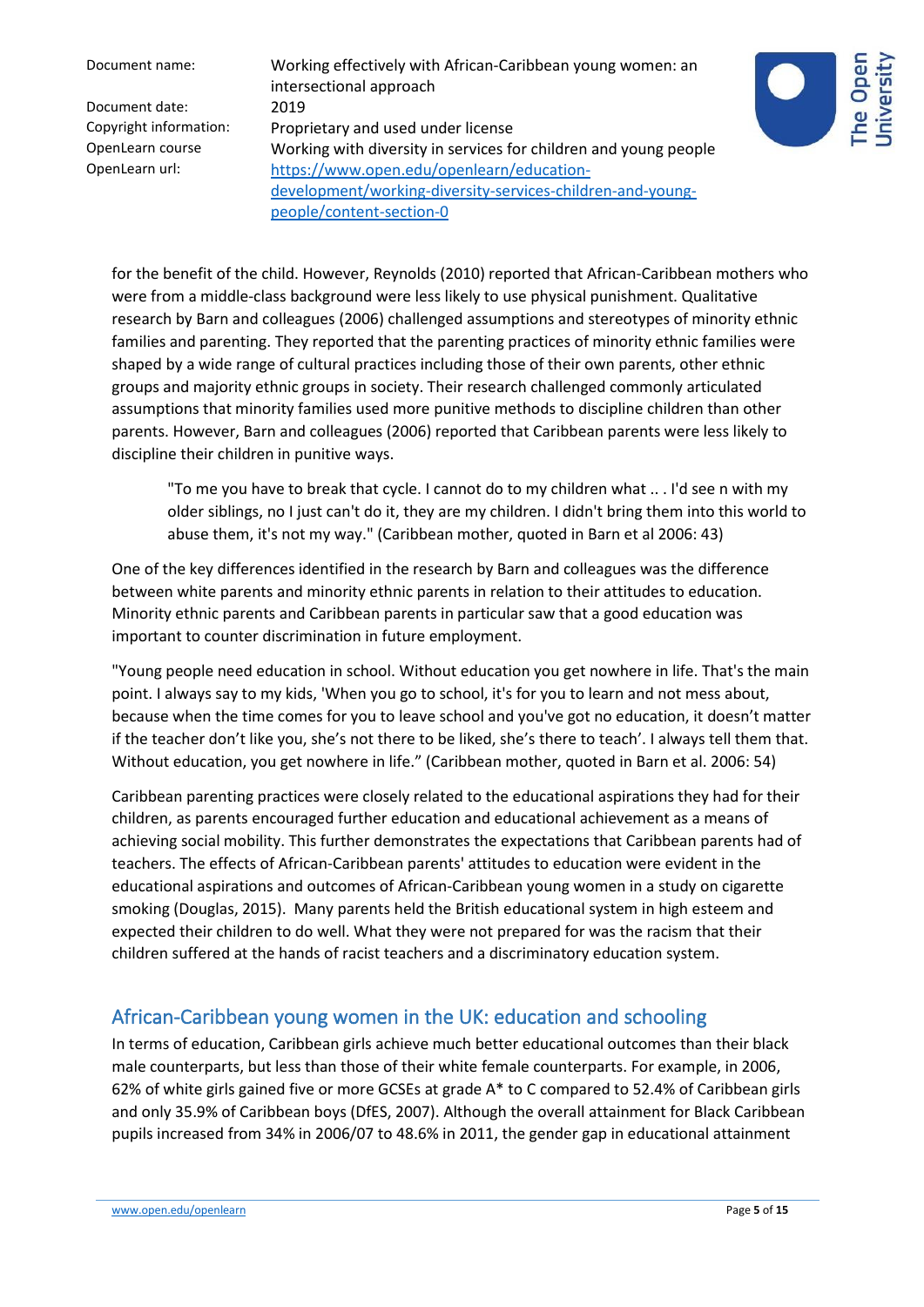Document name: Working effectively with African-Caribbean young women: an intersectional approach Copyright information: Proprietary and used under license OpenLearn course Working with diversity in services for children and young people OpenLearn url: [https://www.open.edu/openlearn/education](https://www.open.edu/openlearn/education-development/working-diversity-services-children-and-young-people/content-section-0)[development/working-diversity-services-children-and-young](https://www.open.edu/openlearn/education-development/working-diversity-services-children-and-young-people/content-section-0)[people/content-section-0](https://www.open.edu/openlearn/education-development/working-diversity-services-children-and-young-people/content-section-0)



for the benefit of the child. However, Reynolds (2010) reported that African-Caribbean mothers who were from a middle-class background were less likely to use physical punishment. Qualitative research by Barn and colleagues (2006) challenged assumptions and stereotypes of minority ethnic families and parenting. They reported that the parenting practices of minority ethnic families were shaped by a wide range of cultural practices including those of their own parents, other ethnic groups and majority ethnic groups in society. Their research challenged commonly articulated assumptions that minority families used more punitive methods to discipline children than other parents. However, Barn and colleagues (2006) reported that Caribbean parents were less likely to discipline their children in punitive ways.

"To me you have to break that cycle. I cannot do to my children what .. . I'd see n with my older siblings, no I just can't do it, they are my children. I didn't bring them into this world to abuse them, it's not my way." (Caribbean mother, quoted in Barn et al 2006: 43)

One of the key differences identified in the research by Barn and colleagues was the difference between white parents and minority ethnic parents in relation to their attitudes to education. Minority ethnic parents and Caribbean parents in particular saw that a good education was important to counter discrimination in future employment.

"Young people need education in school. Without education you get nowhere in life. That's the main point. I always say to my kids, 'When you go to school, it's for you to learn and not mess about, because when the time comes for you to leave school and you've got no education, it doesn't matter if the teacher don't like you, she's not there to be liked, she's there to teach'. I always tell them that. Without education, you get nowhere in life." (Caribbean mother, quoted in Barn et al. 2006: 54)

Caribbean parenting practices were closely related to the educational aspirations they had for their children, as parents encouraged further education and educational achievement as a means of achieving social mobility. This further demonstrates the expectations that Caribbean parents had of teachers. The effects of African-Caribbean parents' attitudes to education were evident in the educational aspirations and outcomes of African-Caribbean young women in a study on cigarette smoking (Douglas, 2015). Many parents held the British educational system in high esteem and expected their children to do well. What they were not prepared for was the racism that their children suffered at the hands of racist teachers and a discriminatory education system.

# African-Caribbean young women in the UK: education and schooling

In terms of education, Caribbean girls achieve much better educational outcomes than their black male counterparts, but less than those of their white female counterparts. For example, in 2006, 62% of white girls gained five or more GCSEs at grade A\* to C compared to 52.4% of Caribbean girls and only 35.9% of Caribbean boys (DfES, 2007). Although the overall attainment for Black Caribbean pupils increased from 34% in 2006/07 to 48.6% in 2011, the gender gap in educational attainment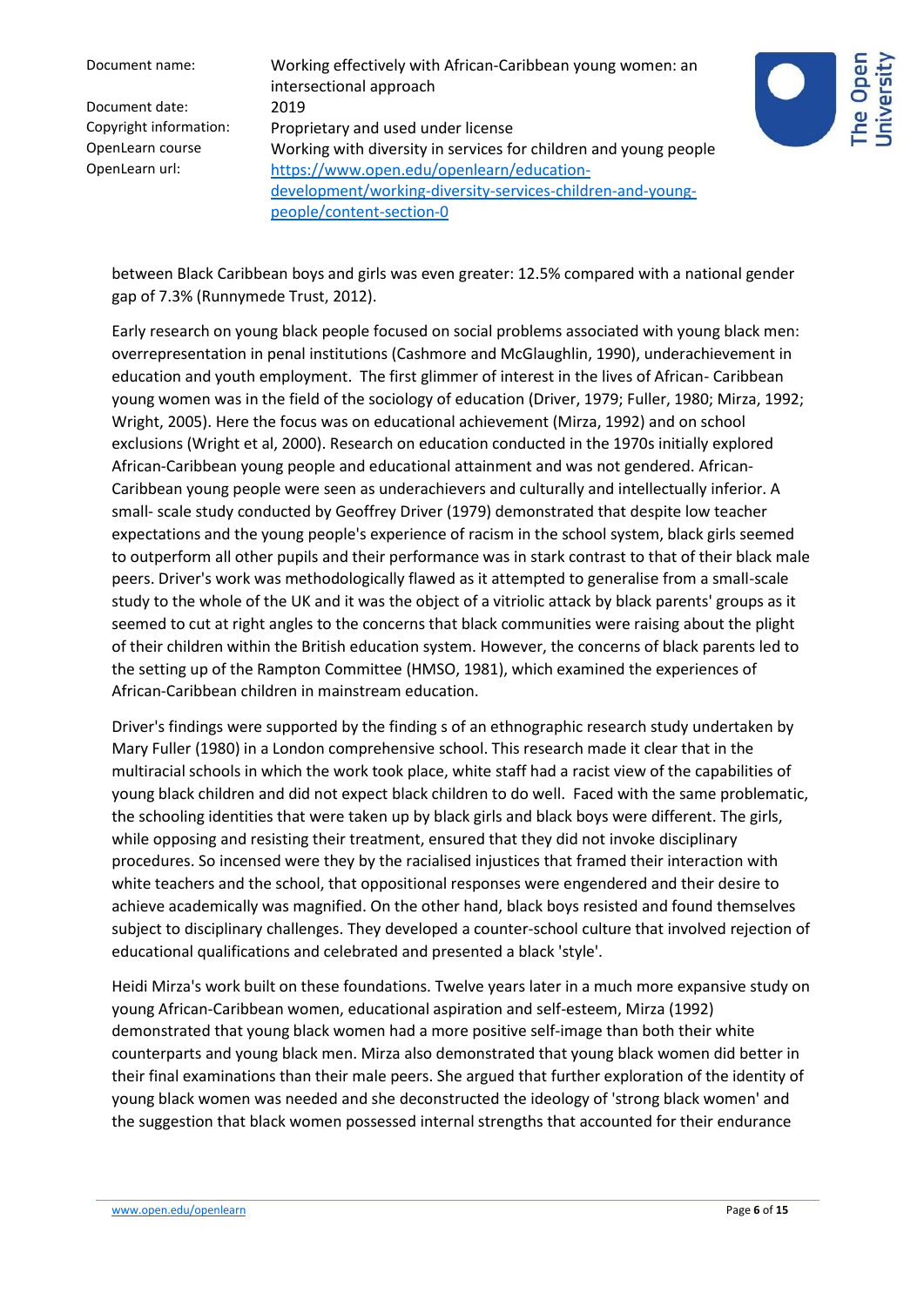Document name: Working effectively with African-Caribbean young women: an intersectional approach Copyright information: Proprietary and used under license OpenLearn course Working with diversity in services for children and young people OpenLearn url: [https://www.open.edu/openlearn/education](https://www.open.edu/openlearn/education-development/working-diversity-services-children-and-young-people/content-section-0)[development/working-diversity-services-children-and-young](https://www.open.edu/openlearn/education-development/working-diversity-services-children-and-young-people/content-section-0)[people/content-section-0](https://www.open.edu/openlearn/education-development/working-diversity-services-children-and-young-people/content-section-0)



between Black Caribbean boys and girls was even greater: 12.5% compared with a national gender gap of 7.3% (Runnymede Trust, 2012).

Early research on young black people focused on social problems associated with young black men: overrepresentation in penal institutions (Cashmore and McGlaughlin, 1990), underachievement in education and youth employment. The first glimmer of interest in the lives of African- Caribbean young women was in the field of the sociology of education (Driver, 1979; Fuller, 1980; Mirza, 1992; Wright, 2005). Here the focus was on educational achievement (Mirza, 1992) and on school exclusions (Wright et al, 2000). Research on education conducted in the 1970s initially explored African-Caribbean young people and educational attainment and was not gendered. African-Caribbean young people were seen as underachievers and culturally and intellectually inferior. A small- scale study conducted by Geoffrey Driver (1979) demonstrated that despite low teacher expectations and the young people's experience of racism in the school system, black girls seemed to outperform all other pupils and their performance was in stark contrast to that of their black male peers. Driver's work was methodologically flawed as it attempted to generalise from a small-scale study to the whole of the UK and it was the object of a vitriolic attack by black parents' groups as it seemed to cut at right angles to the concerns that black communities were raising about the plight of their children within the British education system. However, the concerns of black parents led to the setting up of the Rampton Committee (HMSO, 1981), which examined the experiences of African-Caribbean children in mainstream education.

Driver's findings were supported by the finding s of an ethnographic research study undertaken by Mary Fuller (1980) in a London comprehensive school. This research made it clear that in the multiracial schools in which the work took place, white staff had a racist view of the capabilities of young black children and did not expect black children to do well. Faced with the same problematic, the schooling identities that were taken up by black girls and black boys were different. The girls, while opposing and resisting their treatment, ensured that they did not invoke disciplinary procedures. So incensed were they by the racialised injustices that framed their interaction with white teachers and the school, that oppositional responses were engendered and their desire to achieve academically was magnified. On the other hand, black boys resisted and found themselves subject to disciplinary challenges. They developed a counter-school culture that involved rejection of educational qualifications and celebrated and presented a black 'style'.

Heidi Mirza's work built on these foundations. Twelve years later in a much more expansive study on young African-Caribbean women, educational aspiration and self-esteem, Mirza (1992) demonstrated that young black women had a more positive self-image than both their white counterparts and young black men. Mirza also demonstrated that young black women did better in their final examinations than their male peers. She argued that further exploration of the identity of young black women was needed and she deconstructed the ideology of 'strong black women' and the suggestion that black women possessed internal strengths that accounted for their endurance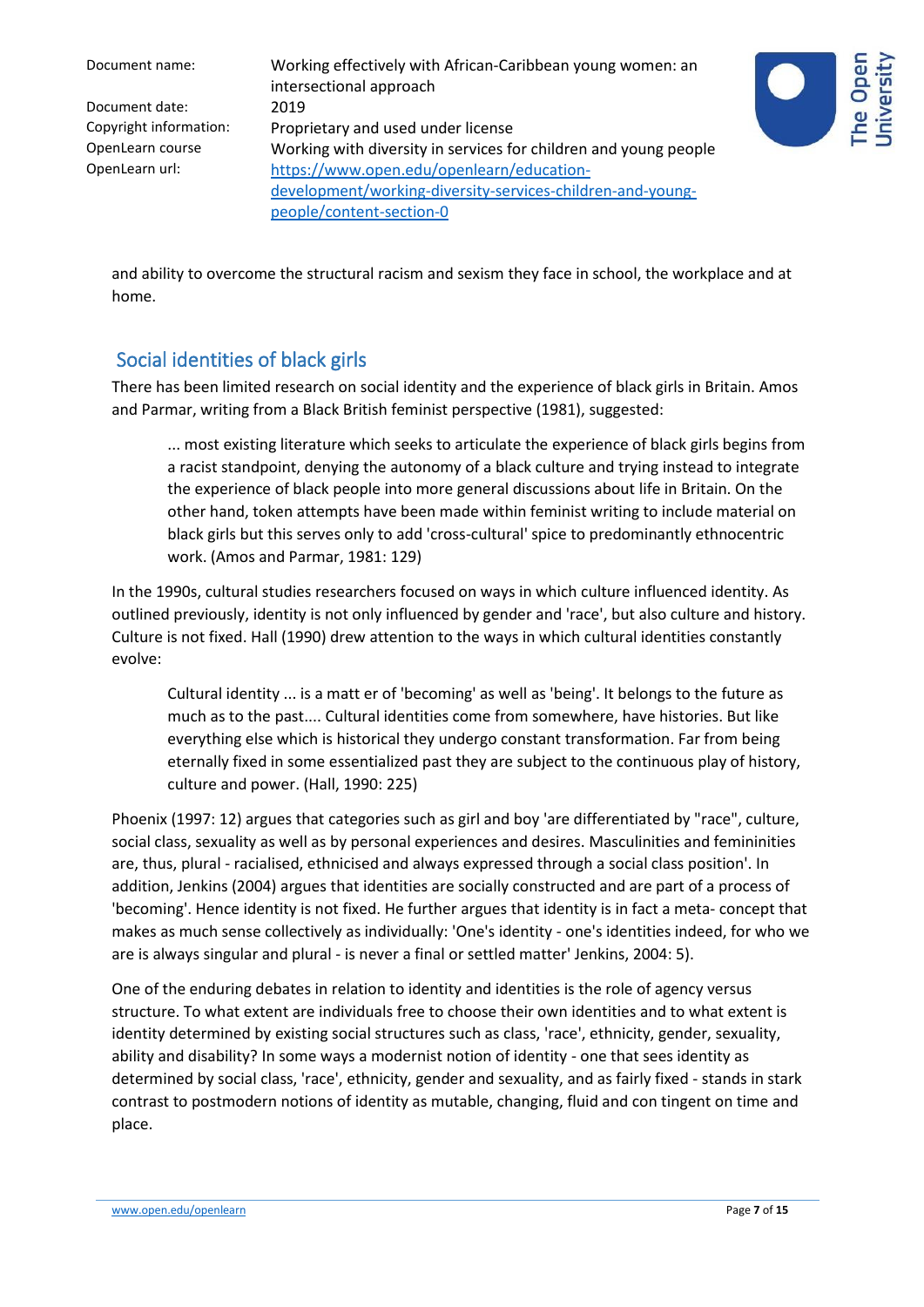| Document name:         | Working effectively with African-Caribbean young women: an<br>intersectional approach |
|------------------------|---------------------------------------------------------------------------------------|
| Document date:         | 2019                                                                                  |
| Copyright information: | Proprietary and used under license                                                    |
| OpenLearn course       | Working with diversity in services for children and young people                      |
| OpenLearn url:         | https://www.open.edu/openlearn/education-                                             |
|                        | development/working-diversity-services-children-and-young-                            |
|                        | people/content-section-0                                                              |
|                        |                                                                                       |



and ability to overcome the structural racism and sexism they face in school, the workplace and at home.

# Social identities of black girls

There has been limited research on social identity and the experience of black girls in Britain. Amos and Parmar, writing from a Black British feminist perspective (1981), suggested:

... most existing literature which seeks to articulate the experience of black girls begins from a racist standpoint, denying the autonomy of a black culture and trying instead to integrate the experience of black people into more general discussions about life in Britain. On the other hand, token attempts have been made within feminist writing to include material on black girls but this serves only to add 'cross-cultural' spice to predominantly ethnocentric work. (Amos and Parmar, 1981: 129)

In the 1990s, cultural studies researchers focused on ways in which culture influenced identity. As outlined previously, identity is not only influenced by gender and 'race', but also culture and history. Culture is not fixed. Hall (1990) drew attention to the ways in which cultural identities constantly evolve:

Cultural identity ... is a matt er of 'becoming' as well as 'being'. It belongs to the future as much as to the past.... Cultural identities come from somewhere, have histories. But like everything else which is historical they undergo constant transformation. Far from being eternally fixed in some essentialized past they are subject to the continuous play of history, culture and power. (Hall, 1990: 225)

Phoenix (1997: 12) argues that categories such as girl and boy 'are differentiated by "race", culture, social class, sexuality as well as by personal experiences and desires. Masculinities and femininities are, thus, plural - racialised, ethnicised and always expressed through a social class position'. In addition, Jenkins (2004) argues that identities are socially constructed and are part of a process of 'becoming'. Hence identity is not fixed. He further argues that identity is in fact a meta- concept that makes as much sense collectively as individually: 'One's identity - one's identities indeed, for who we are is always singular and plural - is never a final or settled matter' Jenkins, 2004: 5).

One of the enduring debates in relation to identity and identities is the role of agency versus structure. To what extent are individuals free to choose their own identities and to what extent is identity determined by existing social structures such as class, 'race', ethnicity, gender, sexuality, ability and disability? In some ways a modernist notion of identity - one that sees identity as determined by social class, 'race', ethnicity, gender and sexuality, and as fairly fixed - stands in stark contrast to postmodern notions of identity as mutable, changing, fluid and con tingent on time and place.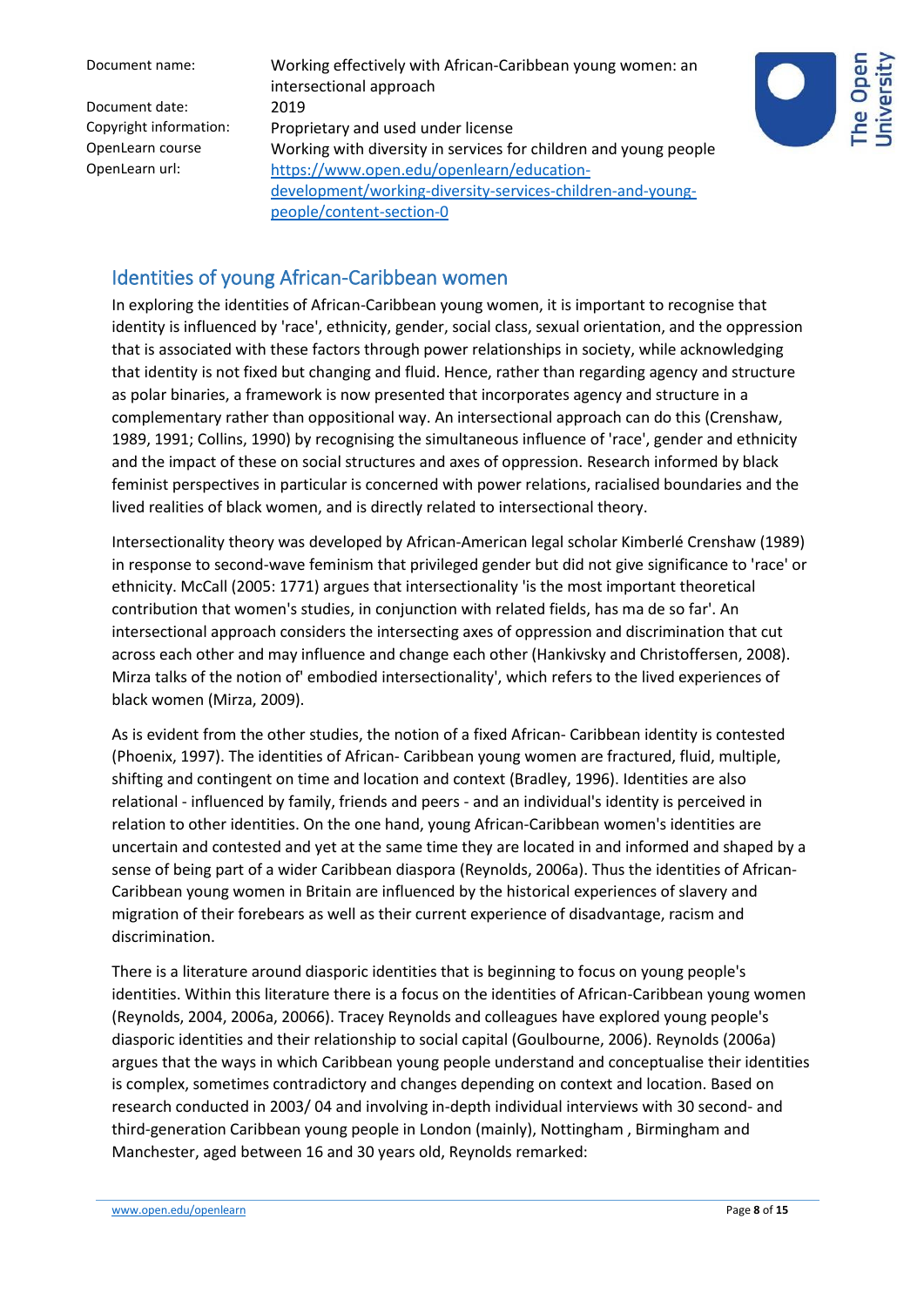Document name: Working effectively with African-Caribbean young women: an intersectional approach Copyright information: Proprietary and used under license OpenLearn course Working with diversity in services for children and young people OpenLearn url: [https://www.open.edu/openlearn/education](https://www.open.edu/openlearn/education-development/working-diversity-services-children-and-young-people/content-section-0)[development/working-diversity-services-children-and-young](https://www.open.edu/openlearn/education-development/working-diversity-services-children-and-young-people/content-section-0)[people/content-section-0](https://www.open.edu/openlearn/education-development/working-diversity-services-children-and-young-people/content-section-0)



#### Identities of young African-Caribbean women

In exploring the identities of African-Caribbean young women, it is important to recognise that identity is influenced by 'race', ethnicity, gender, social class, sexual orientation, and the oppression that is associated with these factors through power relationships in society, while acknowledging that identity is not fixed but changing and fluid. Hence, rather than regarding agency and structure as polar binaries, a framework is now presented that incorporates agency and structure in a complementary rather than oppositional way. An intersectional approach can do this (Crenshaw, 1989, 1991; Collins, 1990) by recognising the simultaneous influence of 'race', gender and ethnicity and the impact of these on social structures and axes of oppression. Research informed by black feminist perspectives in particular is concerned with power relations, racialised boundaries and the lived realities of black women, and is directly related to intersectional theory.

Intersectionality theory was developed by African-American legal scholar Kimberlé Crenshaw (1989) in response to second-wave feminism that privileged gender but did not give significance to 'race' or ethnicity. McCall (2005: 1771) argues that intersectionality 'is the most important theoretical contribution that women's studies, in conjunction with related fields, has ma de so far'. An intersectional approach considers the intersecting axes of oppression and discrimination that cut across each other and may influence and change each other (Hankivsky and Christoffersen, 2008). Mirza talks of the notion of' embodied intersectionality', which refers to the lived experiences of black women (Mirza, 2009).

As is evident from the other studies, the notion of a fixed African- Caribbean identity is contested (Phoenix, 1997). The identities of African- Caribbean young women are fractured, fluid, multiple, shifting and contingent on time and location and context (Bradley, 1996). Identities are also relational - influenced by family, friends and peers - and an individual's identity is perceived in relation to other identities. On the one hand, young African-Caribbean women's identities are uncertain and contested and yet at the same time they are located in and informed and shaped by a sense of being part of a wider Caribbean diaspora (Reynolds, 2006a). Thus the identities of African-Caribbean young women in Britain are influenced by the historical experiences of slavery and migration of their forebears as well as their current experience of disadvantage, racism and discrimination.

There is a literature around diasporic identities that is beginning to focus on young people's identities. Within this literature there is a focus on the identities of African-Caribbean young women (Reynolds, 2004, 2006a, 20066). Tracey Reynolds and colleagues have explored young people's diasporic identities and their relationship to social capital (Goulbourne, 2006). Reynolds (2006a) argues that the ways in which Caribbean young people understand and conceptualise their identities is complex, sometimes contradictory and changes depending on context and location. Based on research conducted in 2003/ 04 and involving in-depth individual interviews with 30 second- and third-generation Caribbean young people in London (mainly), Nottingham , Birmingham and Manchester, aged between 16 and 30 years old, Reynolds remarked: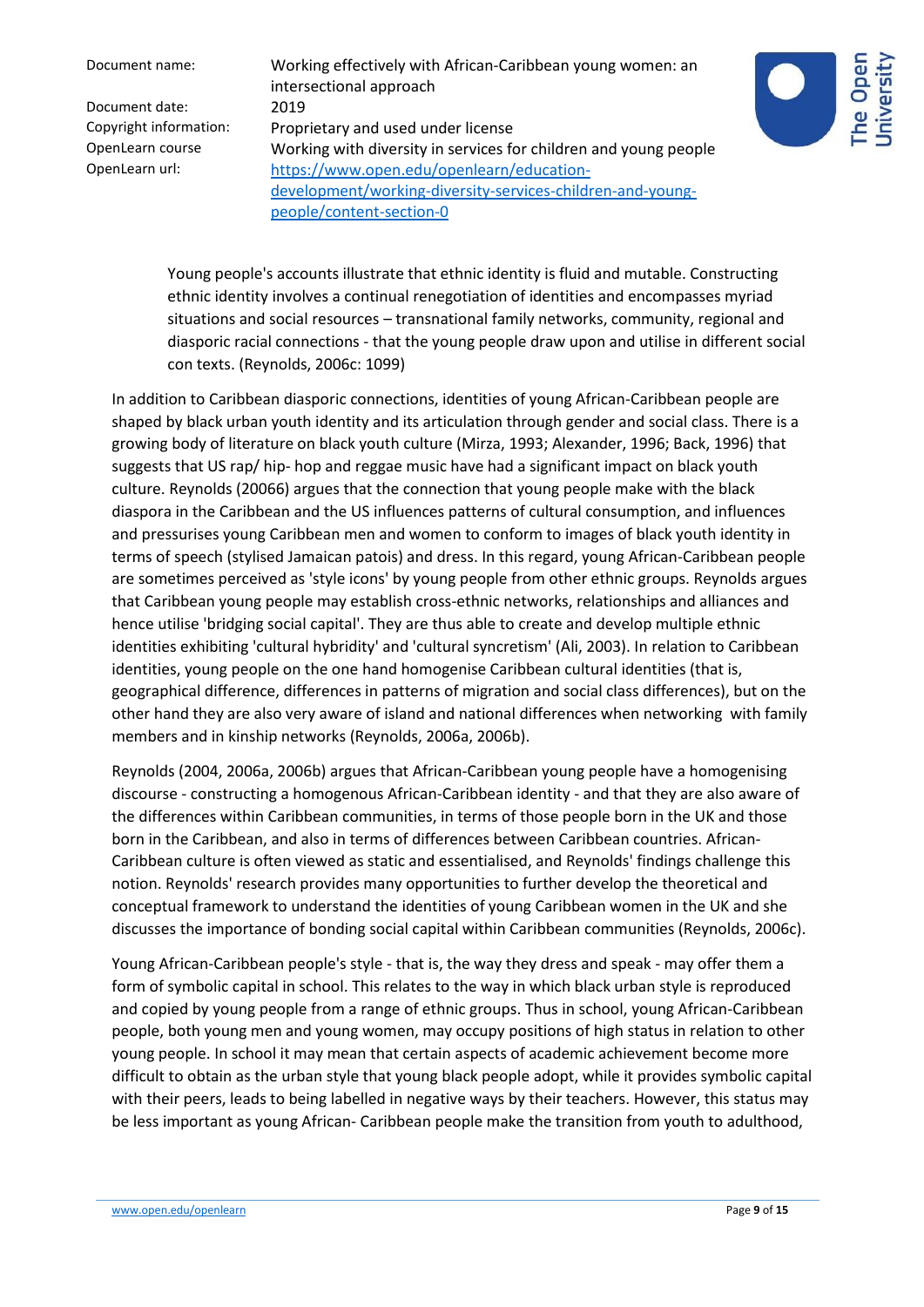Document name: Working effectively with African-Caribbean young women: an intersectional approach Copyright information: Proprietary and used under license OpenLearn course Working with diversity in services for children and young people OpenLearn url: [https://www.open.edu/openlearn/education](https://www.open.edu/openlearn/education-development/working-diversity-services-children-and-young-people/content-section-0)[development/working-diversity-services-children-and-young](https://www.open.edu/openlearn/education-development/working-diversity-services-children-and-young-people/content-section-0)[people/content-section-0](https://www.open.edu/openlearn/education-development/working-diversity-services-children-and-young-people/content-section-0)



Young people's accounts illustrate that ethnic identity is fluid and mutable. Constructing ethnic identity involves a continual renegotiation of identities and encompasses myriad situations and social resources – transnational family networks, community, regional and diasporic racial connections - that the young people draw upon and utilise in different social con texts. (Reynolds, 2006c: 1099)

In addition to Caribbean diasporic connections, identities of young African-Caribbean people are shaped by black urban youth identity and its articulation through gender and social class. There is a growing body of literature on black youth culture (Mirza, 1993; Alexander, 1996; Back, 1996) that suggests that US rap/ hip- hop and reggae music have had a significant impact on black youth culture. Reynolds (20066) argues that the connection that young people make with the black diaspora in the Caribbean and the US influences patterns of cultural consumption, and influences and pressurises young Caribbean men and women to conform to images of black youth identity in terms of speech (stylised Jamaican patois) and dress. In this regard, young African-Caribbean people are sometimes perceived as 'style icons' by young people from other ethnic groups. Reynolds argues that Caribbean young people may establish cross-ethnic networks, relationships and alliances and hence utilise 'bridging social capital'. They are thus able to create and develop multiple ethnic identities exhibiting 'cultural hybridity' and 'cultural syncretism' (Ali, 2003). In relation to Caribbean identities, young people on the one hand homogenise Caribbean cultural identities (that is, geographical difference, differences in patterns of migration and social class differences), but on the other hand they are also very aware of island and national differences when networking with family members and in kinship networks (Reynolds, 2006a, 2006b).

Reynolds (2004, 2006a, 2006b) argues that African-Caribbean young people have a homogenising discourse - constructing a homogenous African-Caribbean identity - and that they are also aware of the differences within Caribbean communities, in terms of those people born in the UK and those born in the Caribbean, and also in terms of differences between Caribbean countries. African-Caribbean culture is often viewed as static and essentialised, and Reynolds' findings challenge this notion. Reynolds' research provides many opportunities to further develop the theoretical and conceptual framework to understand the identities of young Caribbean women in the UK and she discusses the importance of bonding social capital within Caribbean communities (Reynolds, 2006c).

Young African-Caribbean people's style - that is, the way they dress and speak - may offer them a form of symbolic capital in school. This relates to the way in which black urban style is reproduced and copied by young people from a range of ethnic groups. Thus in school, young African-Caribbean people, both young men and young women, may occupy positions of high status in relation to other young people. In school it may mean that certain aspects of academic achievement become more difficult to obtain as the urban style that young black people adopt, while it provides symbolic capital with their peers, leads to being labelled in negative ways by their teachers. However, this status may be less important as young African- Caribbean people make the transition from youth to adulthood,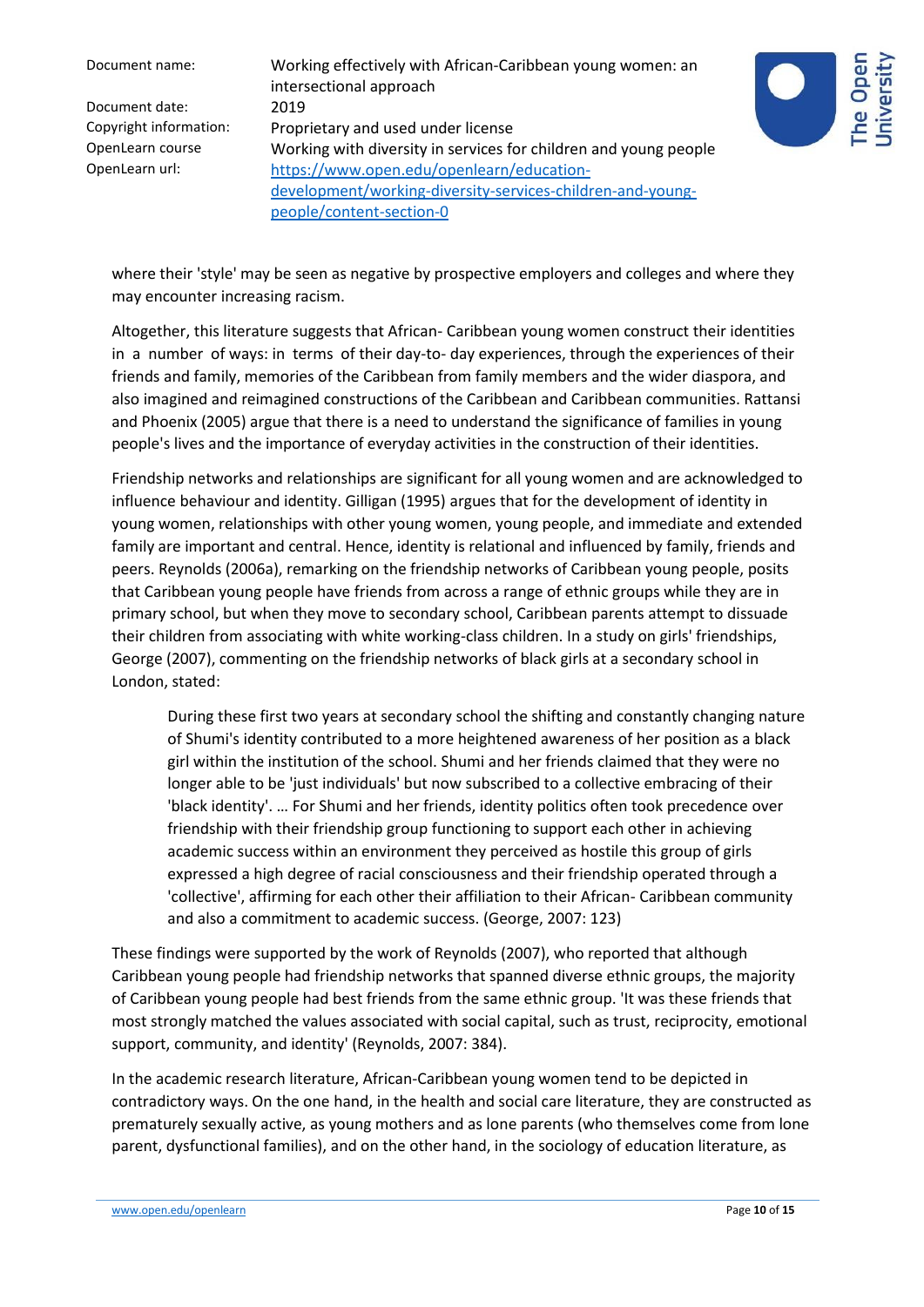Document name: Working effectively with African-Caribbean young women: an intersectional approach Copyright information: Proprietary and used under license OpenLearn course Working with diversity in services for children and young people OpenLearn url: [https://www.open.edu/openlearn/education](https://www.open.edu/openlearn/education-development/working-diversity-services-children-and-young-people/content-section-0)[development/working-diversity-services-children-and-young](https://www.open.edu/openlearn/education-development/working-diversity-services-children-and-young-people/content-section-0)[people/content-section-0](https://www.open.edu/openlearn/education-development/working-diversity-services-children-and-young-people/content-section-0)



where their 'style' may be seen as negative by prospective employers and colleges and where they may encounter increasing racism.

Altogether, this literature suggests that African- Caribbean young women construct their identities in a number of ways: in terms of their day-to- day experiences, through the experiences of their friends and family, memories of the Caribbean from family members and the wider diaspora, and also imagined and reimagined constructions of the Caribbean and Caribbean communities. Rattansi and Phoenix (2005) argue that there is a need to understand the significance of families in young people's lives and the importance of everyday activities in the construction of their identities.

Friendship networks and relationships are significant for all young women and are acknowledged to influence behaviour and identity. Gilligan (1995) argues that for the development of identity in young women, relationships with other young women, young people, and immediate and extended family are important and central. Hence, identity is relational and influenced by family, friends and peers. Reynolds (2006a), remarking on the friendship networks of Caribbean young people, posits that Caribbean young people have friends from across a range of ethnic groups while they are in primary school, but when they move to secondary school, Caribbean parents attempt to dissuade their children from associating with white working-class children. In a study on girls' friendships, George (2007), commenting on the friendship networks of black girls at a secondary school in London, stated:

During these first two years at secondary school the shifting and constantly changing nature of Shumi's identity contributed to a more heightened awareness of her position as a black girl within the institution of the school. Shumi and her friends claimed that they were no longer able to be 'just individuals' but now subscribed to a collective embracing of their 'black identity'. … For Shumi and her friends, identity politics often took precedence over friendship with their friendship group functioning to support each other in achieving academic success within an environment they perceived as hostile this group of girls expressed a high degree of racial consciousness and their friendship operated through a 'collective', affirming for each other their affiliation to their African- Caribbean community and also a commitment to academic success. (George, 2007: 123)

These findings were supported by the work of Reynolds (2007), who reported that although Caribbean young people had friendship networks that spanned diverse ethnic groups, the majority of Caribbean young people had best friends from the same ethnic group. 'It was these friends that most strongly matched the values associated with social capital, such as trust, reciprocity, emotional support, community, and identity' (Reynolds, 2007: 384).

In the academic research literature, African-Caribbean young women tend to be depicted in contradictory ways. On the one hand, in the health and social care literature, they are constructed as prematurely sexually active, as young mothers and as lone parents (who themselves come from lone parent, dysfunctional families), and on the other hand, in the sociology of education literature, as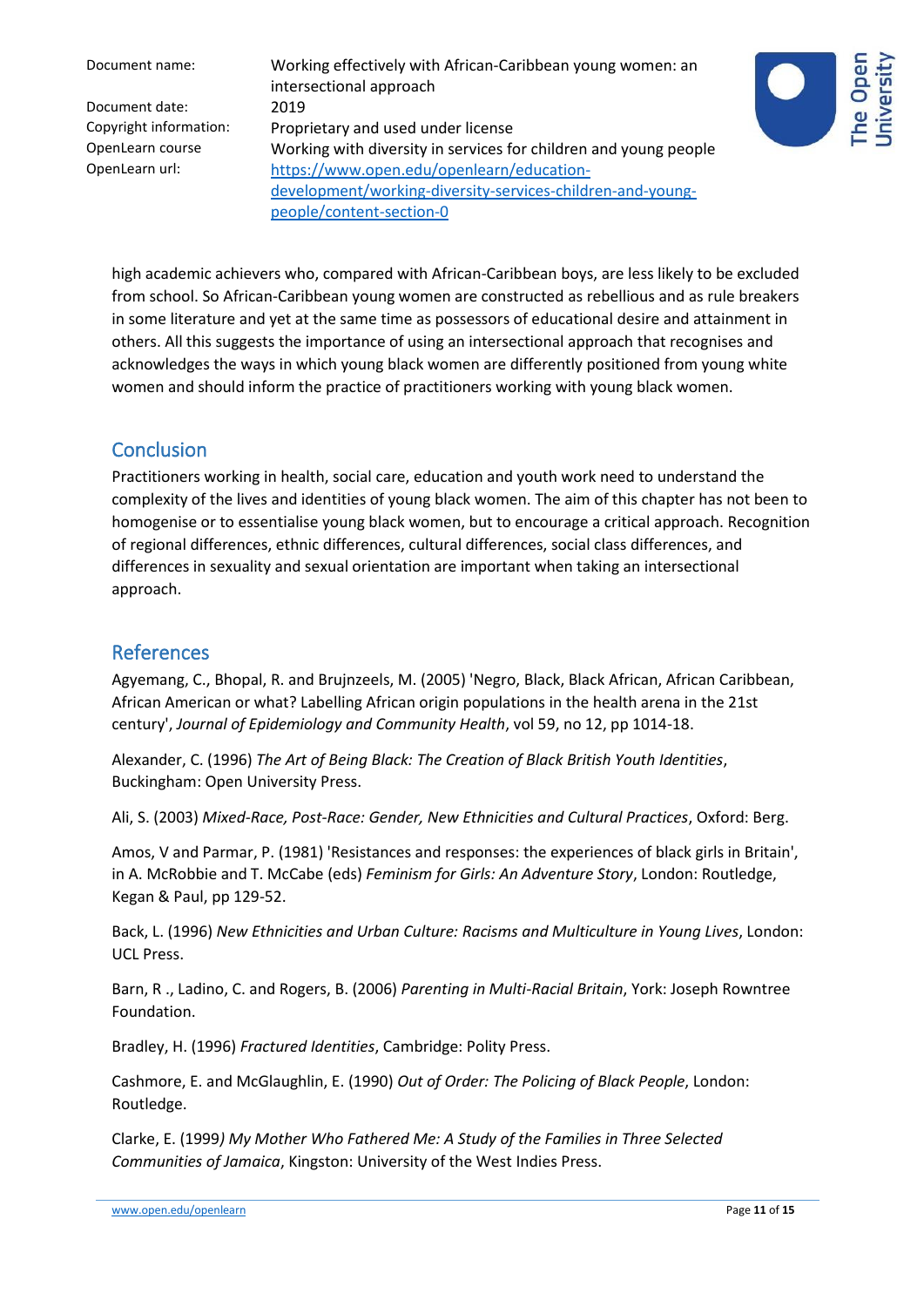Document name: Working effectively with African-Caribbean young women: an intersectional approach Copyright information: Proprietary and used under license OpenLearn course Working with diversity in services for children and young people OpenLearn url: [https://www.open.edu/openlearn/education](https://www.open.edu/openlearn/education-development/working-diversity-services-children-and-young-people/content-section-0)[development/working-diversity-services-children-and-young](https://www.open.edu/openlearn/education-development/working-diversity-services-children-and-young-people/content-section-0)[people/content-section-0](https://www.open.edu/openlearn/education-development/working-diversity-services-children-and-young-people/content-section-0)



high academic achievers who, compared with African-Caribbean boys, are less likely to be excluded from school. So African-Caribbean young women are constructed as rebellious and as rule breakers in some literature and yet at the same time as possessors of educational desire and attainment in others. All this suggests the importance of using an intersectional approach that recognises and acknowledges the ways in which young black women are differently positioned from young white women and should inform the practice of practitioners working with young black women.

#### **Conclusion**

Practitioners working in health, social care, education and youth work need to understand the complexity of the lives and identities of young black women. The aim of this chapter has not been to homogenise or to essentialise young black women, but to encourage a critical approach. Recognition of regional differences, ethnic differences, cultural differences, social class differences, and differences in sexuality and sexual orientation are important when taking an intersectional approach.

# References

Agyemang, C., Bhopal, R. and Brujnzeels, M. (2005) 'Negro, Black, Black African, African Caribbean, African American or what? Labelling African origin populations in the health arena in the 21st century', *Journal of Epidemiology and Community Health*, vol 59, no 12, pp 1014-18.

Alexander, C. (1996) *The Art of Being Black: The Creation of Black British Youth Identities*, Buckingham: Open University Press.

Ali, S. (2003) *Mixed-Race, Post-Race: Gender, New Ethnicities and Cultural Practices*, Oxford: Berg.

Amos, V and Parmar, P. (1981) 'Resistances and responses: the experiences of black girls in Britain', in A. McRobbie and T. McCabe (eds) *Feminism for Girls: An Adventure Story*, London: Routledge, Kegan & Paul, pp 129-52.

Back, L. (1996) *New Ethnicities and Urban Culture: Racisms and Multiculture in Young Lives*, London: UCL Press.

Barn, R ., Ladino, C. and Rogers, B. (2006) *Parenting in Multi-Racial Britain*, York: Joseph Rowntree Foundation.

Bradley, H. (1996) *Fractured Identities*, Cambridge: Polity Press.

Cashmore, E. and McGlaughlin, E. (1990) *Out of Order: The Policing of Black People*, London: Routledge.

Clarke, E. (1999*) My Mother Who Fathered Me: A Study of the Families in Three Selected Communities of Jamaica*, Kingston: University of the West Indies Press.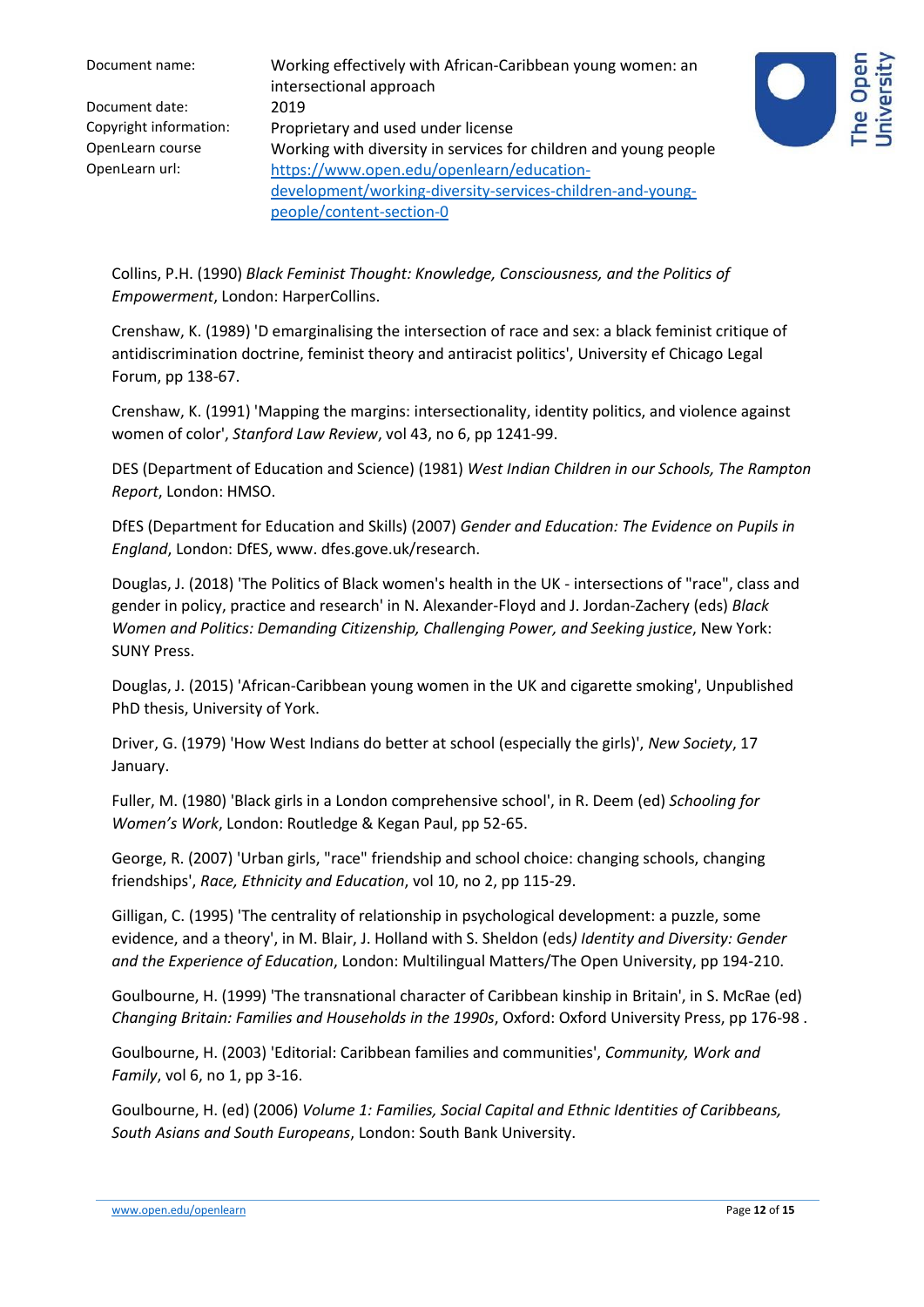| Document name:         | Working effectively with African-Caribbean young women: an<br>intersectional approach |
|------------------------|---------------------------------------------------------------------------------------|
| Document date:         | 2019                                                                                  |
| Copyright information: | Proprietary and used under license                                                    |
| OpenLearn course       | Working with diversity in services for children and young people                      |
| OpenLearn url:         | https://www.open.edu/openlearn/education-                                             |
|                        | development/working-diversity-services-children-and-young-                            |
|                        | people/content-section-0                                                              |



Collins, P.H. (1990) *Black Feminist Thought: Knowledge, Consciousness, and the Politics of Empowerment*, London: HarperCollins.

Crenshaw, K. (1989) 'D emarginalising the intersection of race and sex: a black feminist critique of antidiscrimination doctrine, feminist theory and antiracist politics', University ef Chicago Legal Forum, pp 138-67.

Crenshaw, K. (1991) 'Mapping the margins: intersectionality, identity politics, and violence against women of color', *Stanford Law Review*, vol 43, no 6, pp 1241-99.

DES (Department of Education and Science) (1981) *West Indian Children in our Schools, The Rampton Report*, London: HMSO.

DfES (Department for Education and Skills) (2007) *Gender and Education: The Evidence on Pupils in England*, London: DfES, www. dfes.gove.uk/research.

Douglas, J. (2018) 'The Politics of Black women's health in the UK - intersections of "race", class and gender in policy, practice and research' in N. Alexander-Floyd and J. Jordan-Zachery (eds) *Black Women and Politics: Demanding Citizenship, Challenging Power, and Seeking justice*, New York: SUNY Press.

Douglas, J. (2015) 'African-Caribbean young women in the UK and cigarette smoking', Unpublished PhD thesis, University of York.

Driver, G. (1979) 'How West Indians do better at school (especially the girls)', *New Society*, 17 January.

Fuller, M. (1980) 'Black girls in a London comprehensive school', in R. Deem (ed) *Schooling for Women's Work*, London: Routledge & Kegan Paul, pp 52-65.

George, R. (2007) 'Urban girls, "race" friendship and school choice: changing schools, changing friendships', *Race, Ethnicity and Education*, vol 10, no 2, pp 115-29.

Gilligan, C. (1995) 'The centrality of relationship in psychological development: a puzzle, some evidence, and a theory', in M. Blair, J. Holland with S. Sheldon (eds*) Identity and Diversity: Gender and the Experience of Education*, London: Multilingual Matters/The Open University, pp 194-210.

Goulbourne, H. (1999) 'The transnational character of Caribbean kinship in Britain', in S. McRae (ed) *Changing Britain: Families and Households in the 1990s*, Oxford: Oxford University Press, pp 176-98 .

Goulbourne, H. (2003) 'Editorial: Caribbean families and communities', *Community, Work and Family*, vol 6, no 1, pp 3-16.

Goulbourne, H. (ed) (2006) *Volume 1: Families, Social Capital and Ethnic Identities of Caribbeans, South Asians and South Europeans*, London: South Bank University.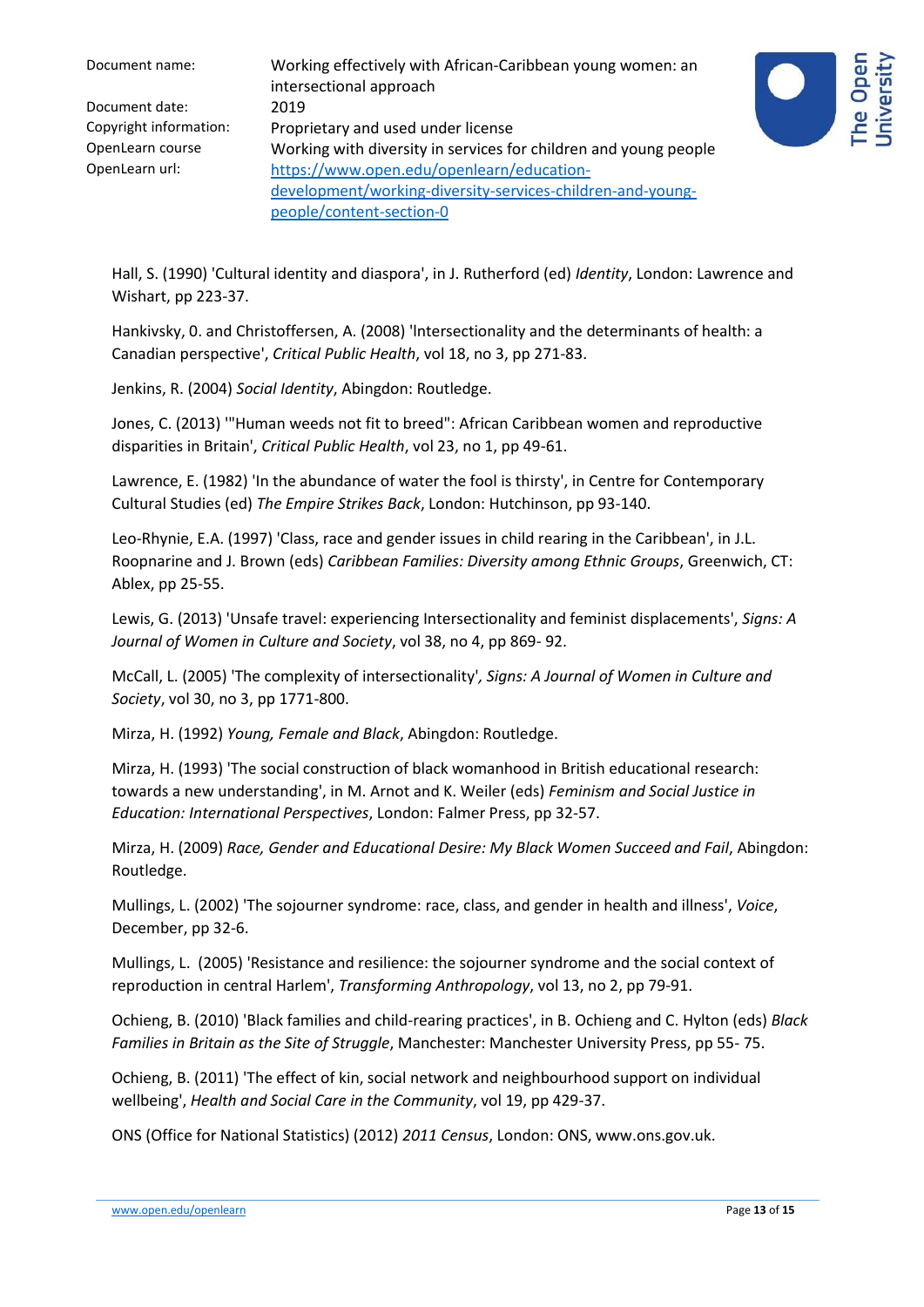| Document name:         | Working effectively with African-Caribbean young women: an<br>intersectional approach |
|------------------------|---------------------------------------------------------------------------------------|
| Document date:         | 2019                                                                                  |
| Copyright information: | Proprietary and used under license                                                    |
| OpenLearn course       | Working with diversity in services for children and young people                      |
| OpenLearn url:         | https://www.open.edu/openlearn/education-                                             |
|                        | development/working-diversity-services-children-and-young-                            |
|                        | people/content-section-0                                                              |



Hall, S. (1990) 'Cultural identity and diaspora', in J. Rutherford (ed) *Identity*, London: Lawrence and Wishart, pp 223-37.

Hankivsky, 0. and Christoffersen, A. (2008) 'lntersectionality and the determinants of health: a Canadian perspective', *Critical Public Health*, vol 18, no 3, pp 271-83.

Jenkins, R. (2004) *Social Identity*, Abingdon: Routledge.

Jones, C. (2013) '"Human weeds not fit to breed": African Caribbean women and reproductive disparities in Britain', *Critical Public Health*, vol 23, no 1, pp 49-61.

Lawrence, E. (1982) 'In the abundance of water the fool is thirsty', in Centre for Contemporary Cultural Studies (ed) *The Empire Strikes Back*, London: Hutchinson, pp 93-140.

Leo-Rhynie, E.A. (1997) 'Class, race and gender issues in child rearing in the Caribbean', in J.L. Roopnarine and J. Brown (eds) *Caribbean Families: Diversity among Ethnic Groups*, Greenwich, CT: Ablex, pp 25-55.

Lewis, G. (2013) 'Unsafe travel: experiencing Intersectionality and feminist displacements', *Signs: A Journal of Women in Culture and Society*, vol 38, no 4, pp 869- 92.

McCall, L. (2005) 'The complexity of intersectionality'*, Signs: A Journal of Women in Culture and Society*, vol 30, no 3, pp 1771-800.

Mirza, H. (1992) *Young, Female and Black*, Abingdon: Routledge.

Mirza, H. (1993) 'The social construction of black womanhood in British educational research: towards a new understanding', in M. Arnot and K. Weiler (eds) *Feminism and Social Justice in Education: International Perspectives*, London: Falmer Press, pp 32-57.

Mirza, H. (2009) *Race, Gender and Educational Desire: My Black Women Succeed and Fail*, Abingdon: Routledge.

Mullings, L. (2002) 'The sojourner syndrome: race, class, and gender in health and illness', *Voice*, December, pp 32-6.

Mullings, L. (2005) 'Resistance and resilience: the sojourner syndrome and the social context of reproduction in central Harlem', *Transforming Anthropology*, vol 13, no 2, pp 79-91.

Ochieng, B. (2010) 'Black families and child-rearing practices', in B. Ochieng and C. Hylton (eds) *Black Families in Britain as the Site of Struggle*, Manchester: Manchester University Press, pp 55- 75.

Ochieng, B. (2011) 'The effect of kin, social network and neighbourhood support on individual wellbeing', *Health and Social Care in the Community*, vol 19, pp 429-37.

ONS (Office for National Statistics) (2012) *2011 Census*, London: ONS, www.ons.gov.uk.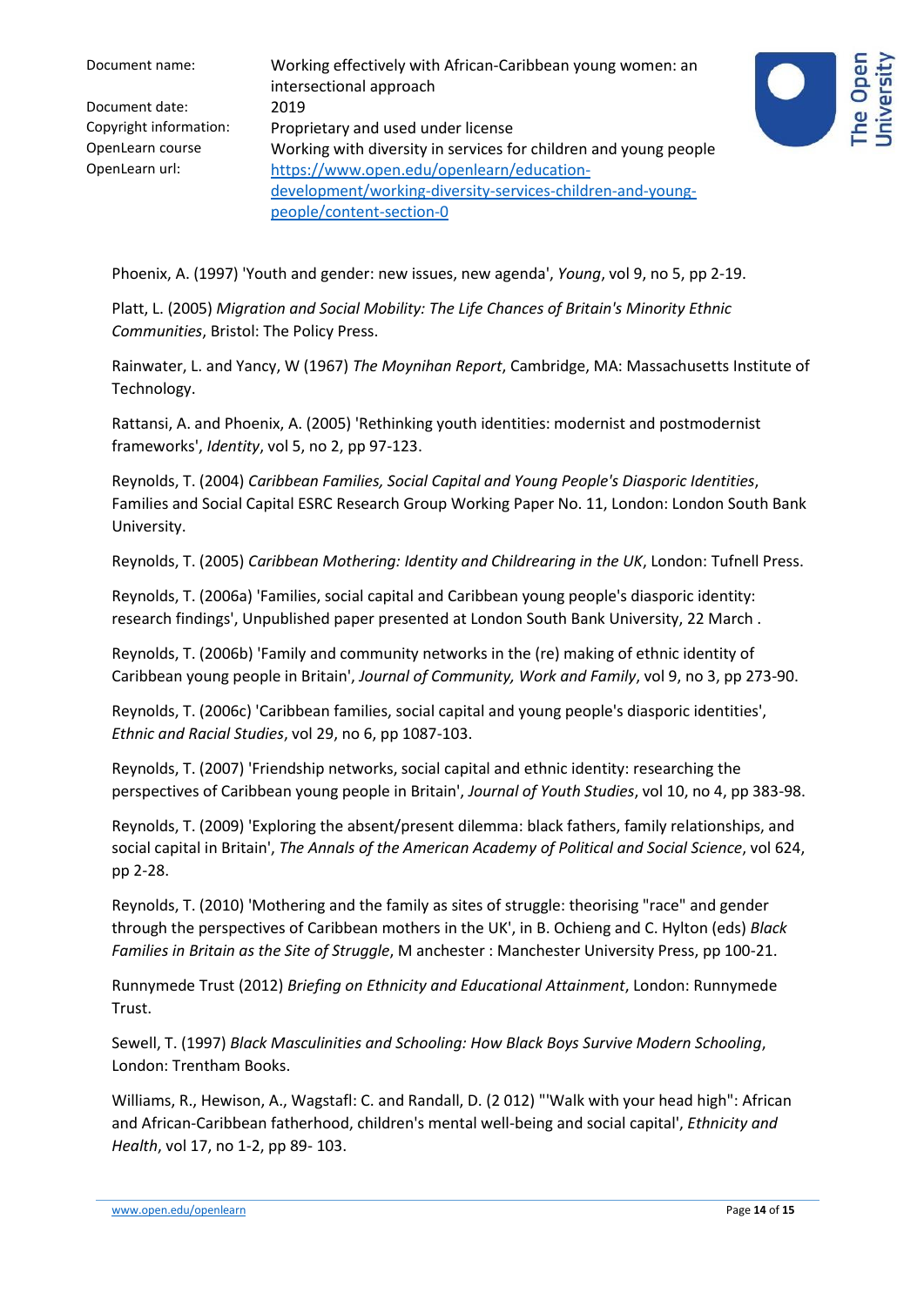| Document name:         | Working effectively with African-Caribbean young women: an<br>intersectional approach |
|------------------------|---------------------------------------------------------------------------------------|
| Document date:         | 2019                                                                                  |
| Copyright information: | Proprietary and used under license                                                    |
| OpenLearn course       | Working with diversity in services for children and young people                      |
| OpenLearn url:         | https://www.open.edu/openlearn/education-                                             |
|                        | development/working-diversity-services-children-and-young-                            |
|                        | people/content-section-0                                                              |



Phoenix, A. (1997) 'Youth and gender: new issues, new agenda', *Young*, vol 9, no 5, pp 2-19.

Platt, L. (2005) *Migration and Social Mobility: The Life Chances of Britain's Minority Ethnic Communities*, Bristol: The Policy Press.

Rainwater, L. and Yancy, W (1967) *The Moynihan Report*, Cambridge, MA: Massachusetts Institute of Technology.

Rattansi, A. and Phoenix, A. (2005) 'Rethinking youth identities: modernist and postmodernist frameworks', *Identity*, vol 5, no 2, pp 97-123.

Reynolds, T. (2004) *Caribbean Families, Social Capital and Young People's Diasporic Identities*, Families and Social Capital ESRC Research Group Working Paper No. 11, London: London South Bank University.

Reynolds, T. (2005) *Caribbean Mothering: Identity and Childrearing in the UK*, London: Tufnell Press.

Reynolds, T. (2006a) 'Families, social capital and Caribbean young people's diasporic identity: research findings', Unpublished paper presented at London South Bank University, 22 March .

Reynolds, T. (2006b) 'Family and community networks in the (re) making of ethnic identity of Caribbean young people in Britain', *Journal of Community, Work and Family*, vol 9, no 3, pp 273-90.

Reynolds, T. (2006c) 'Caribbean families, social capital and young people's diasporic identities', *Ethnic and Racial Studies*, vol 29, no 6, pp 1087-103.

Reynolds, T. (2007) 'Friendship networks, social capital and ethnic identity: researching the perspectives of Caribbean young people in Britain', *Journal of Youth Studies*, vol 10, no 4, pp 383-98.

Reynolds, T. (2009) 'Exploring the absent/present dilemma: black fathers, family relationships, and social capital in Britain', *The Annals of the American Academy of Political and Social Science*, vol 624, pp 2-28.

Reynolds, T. (2010) 'Mothering and the family as sites of struggle: theorising "race" and gender through the perspectives of Caribbean mothers in the UK', in B. Ochieng and C. Hylton (eds) *Black Families in Britain as the Site of Struggle*, M anchester : Manchester University Press, pp 100-21.

Runnymede Trust (2012) *Briefing on Ethnicity and Educational Attainment*, London: Runnymede Trust.

Sewell, T. (1997) *Black Masculinities and Schooling: How Black Boys Survive Modern Schooling*, London: Trentham Books.

Williams, R., Hewison, A., Wagstafl: C. and Randall, D. (2 012) "'Walk with your head high": African and African-Caribbean fatherhood, children's mental well-being and social capital', *Ethnicity and Health*, vol 17, no 1-2, pp 89- 103.